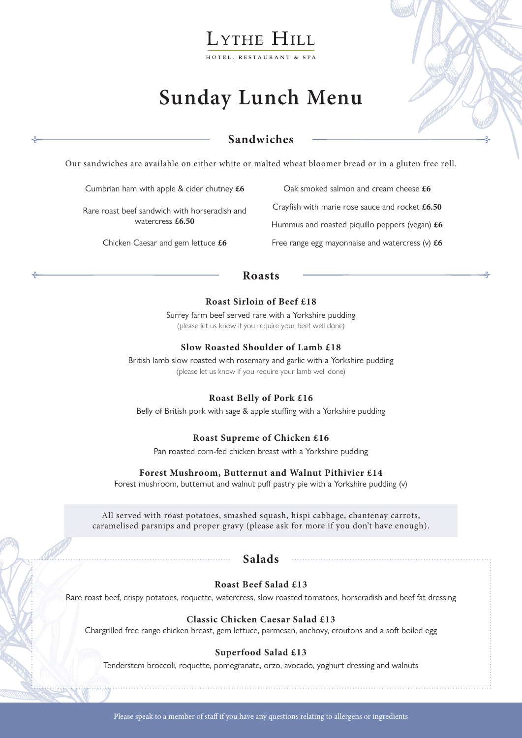# LYTHE HILL

HOTEL, RESTAURANT & SPA

# **Sunday Lunch Menu**

## **Sandwiches**

Our sandwiches are available on either white or malted wheat bloomer bread or in a gluten free roll.

Cumbrian ham with apple & cider chutney **£6**

Rare roast beef sandwich with horseradish and watercress **£6.50**

Chicken Caesar and gem lettuce **£6**

Oak smoked salmon and cream cheese **£6** Crayfish with marie rose sauce and rocket **£6.50** Hummus and roasted piquillo peppers (vegan) **£6** Free range egg mayonnaise and watercress (v) **£6**

### **Roasts**

#### **Roast Sirloin of Beef £18**

Surrey farm beef served rare with a Yorkshire pudding (please let us know if you require your beef well done)

#### **Slow Roasted Shoulder of Lamb £18**

British lamb slow roasted with rosemary and garlic with a Yorkshire pudding (please let us know if you require your lamb well done)

#### **Roast Belly of Pork £16**

Belly of British pork with sage & apple stuffing with a Yorkshire pudding

#### **Roast Supreme of Chicken £16**

Pan roasted corn-fed chicken breast with a Yorkshire pudding

#### **Forest Mushroom, Butternut and Walnut Pithivier £14**

Forest mushroom, butternut and walnut puff pastry pie with a Yorkshire pudding (v)

All served with roast potatoes, smashed squash, hispi cabbage, chantenay carrots, caramelised parsnips and proper gravy (please ask for more if you don't have enough).

#### **Salads**

#### **Roast Beef Salad £13**

Rare roast beef, crispy potatoes, roquette, watercress, slow roasted tomatoes, horseradish and beef fat dressing

#### **Classic Chicken Caesar Salad £13**

Chargrilled free range chicken breast, gem lettuce, parmesan, anchovy, croutons and a soft boiled egg

#### **Superfood Salad £13**

Tenderstem broccoli, roquette, pomegranate, orzo, avocado, yoghurt dressing and walnuts